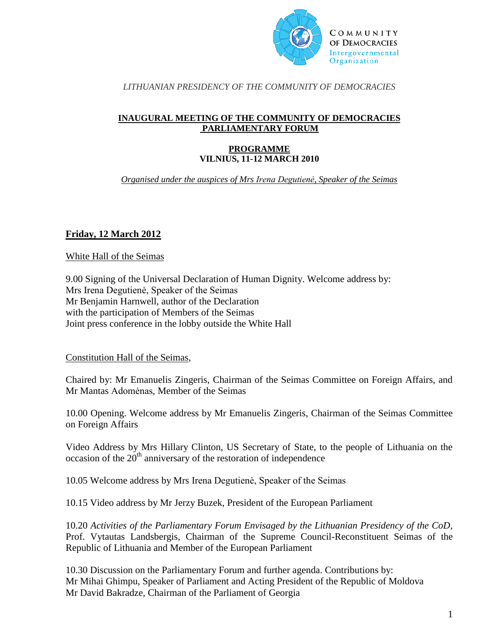

## *LITHUANIAN PRESIDENCY OF THE COMMUNITY OF DEMOCRACIES*

## **INAUGURAL MEETING OF THE COMMUNITY OF DEMOCRACIES PARLIAMENTARY FORUM**

## **PROGRAMME VILNIUS, 11-12 MARCH 2010**

*Organised under the auspices of Mrs Irena Degutienė, Speaker of the Seimas* 

## **Friday, 12 March 2012**

White Hall of the Seimas

9.00 Signing of the Universal Declaration of Human Dignity. Welcome address by: Mrs Irena Degutienė, Speaker of the Seimas Mr Benjamin Harnwell, author of the Declaration with the participation of Members of the Seimas Joint press conference in the lobby outside the White Hall

Constitution Hall of the Seimas,

Chaired by: Mr Emanuelis Zingeris, Chairman of the Seimas Committee on Foreign Affairs, and Mr Mantas Adomėnas, Member of the Seimas

10.00 Opening. Welcome address by Mr Emanuelis Zingeris, Chairman of the Seimas Committee on Foreign Affairs

Video Address by Mrs Hillary Clinton, US Secretary of State, to the people of Lithuania on the occasion of the  $20<sup>th</sup>$  anniversary of the restoration of independence

10.05 Welcome address by Mrs Irena Degutienė, Speaker of the Seimas

10.15 Video address by Mr Jerzy Buzek, President of the European Parliament

10.20 *Activities of the Parliamentary Forum Envisaged by the Lithuanian Presidency of the CoD,* Prof. Vytautas Landsbergis, Chairman of the Supreme Council-Reconstituent Seimas of the Republic of Lithuania and Member of the European Parliament

10.30 Discussion on the Parliamentary Forum and further agenda. Contributions by: Mr Mihai Ghimpu, Speaker of Parliament and Acting President of the Republic of Moldova Mr David Bakradze, Chairman of the Parliament of Georgia